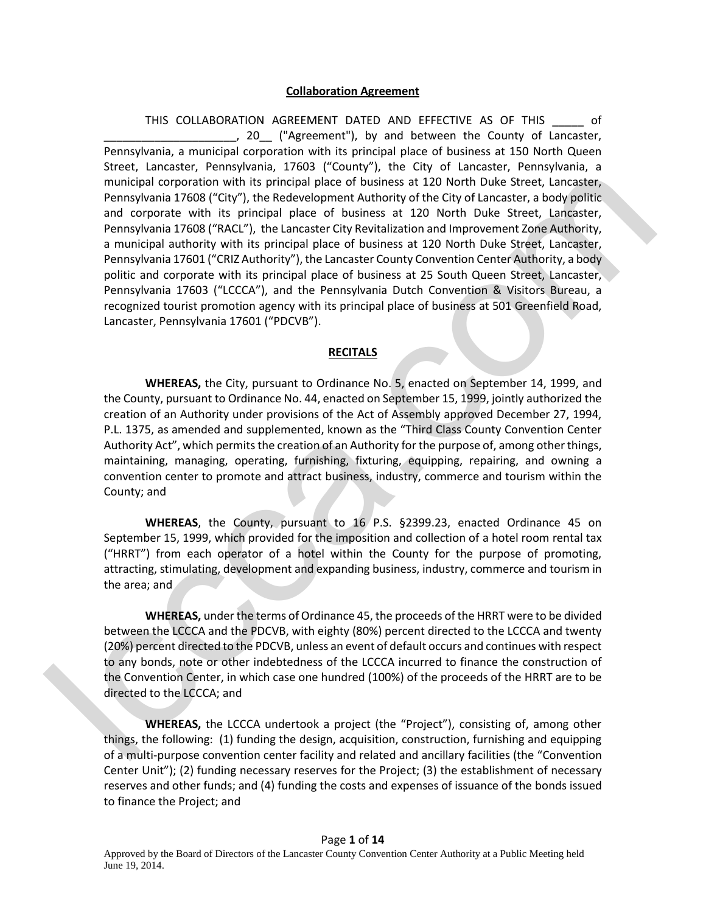#### **Collaboration Agreement**

THIS COLLABORATION AGREEMENT DATED AND EFFECTIVE AS OF THIS \_\_\_\_\_ of \_\_\_\_\_\_\_\_\_\_\_\_\_\_\_\_\_\_\_\_\_, 20\_\_ ("Agreement"), by and between the County of Lancaster, Pennsylvania, a municipal corporation with its principal place of business at 150 North Queen Street, Lancaster, Pennsylvania, 17603 ("County"), the City of Lancaster, Pennsylvania, a municipal corporation with its principal place of business at 120 North Duke Street, Lancaster, Pennsylvania 17608 ("City"), the Redevelopment Authority of the City of Lancaster, a body politic and corporate with its principal place of business at 120 North Duke Street, Lancaster, Pennsylvania 17608 ("RACL"), the Lancaster City Revitalization and Improvement Zone Authority, a municipal authority with its principal place of business at 120 North Duke Street, Lancaster, Pennsylvania 17601 ("CRIZ Authority"), the Lancaster County Convention Center Authority, a body politic and corporate with its principal place of business at 25 South Queen Street, Lancaster, Pennsylvania 17603 ("LCCCA"), and the Pennsylvania Dutch Convention & Visitors Bureau, a recognized tourist promotion agency with its principal place of business at 501 Greenfield Road, Lancaster, Pennsylvania 17601 ("PDCVB"). munitipal conoration with his principal place of business at 120 North busine Street, Lancation and proportional and the proportion of the specific permylennia 17608 ("Giv"), the Redeelepment Activity of the City of Lancat

#### **RECITALS**

**WHEREAS,** the City, pursuant to Ordinance No. 5, enacted on September 14, 1999, and the County, pursuant to Ordinance No. 44, enacted on September 15, 1999, jointly authorized the creation of an Authority under provisions of the Act of Assembly approved December 27, 1994, P.L. 1375, as amended and supplemented, known as the "Third Class County Convention Center Authority Act", which permits the creation of an Authority for the purpose of, among other things, maintaining, managing, operating, furnishing, fixturing, equipping, repairing, and owning a convention center to promote and attract business, industry, commerce and tourism within the County; and

**WHEREAS**, the County, pursuant to 16 P.S. §2399.23, enacted Ordinance 45 on September 15, 1999, which provided for the imposition and collection of a hotel room rental tax ("HRRT") from each operator of a hotel within the County for the purpose of promoting, attracting, stimulating, development and expanding business, industry, commerce and tourism in the area; and

**WHEREAS,** under the terms of Ordinance 45, the proceeds of the HRRT were to be divided between the LCCCA and the PDCVB, with eighty (80%) percent directed to the LCCCA and twenty (20%) percent directed to the PDCVB, unless an event of default occurs and continues with respect to any bonds, note or other indebtedness of the LCCCA incurred to finance the construction of the Convention Center, in which case one hundred (100%) of the proceeds of the HRRT are to be directed to the LCCCA; and

**WHEREAS,** the LCCCA undertook a project (the "Project"), consisting of, among other things, the following: (1) funding the design, acquisition, construction, furnishing and equipping of a multi-purpose convention center facility and related and ancillary facilities (the "Convention Center Unit"); (2) funding necessary reserves for the Project; (3) the establishment of necessary reserves and other funds; and (4) funding the costs and expenses of issuance of the bonds issued to finance the Project; and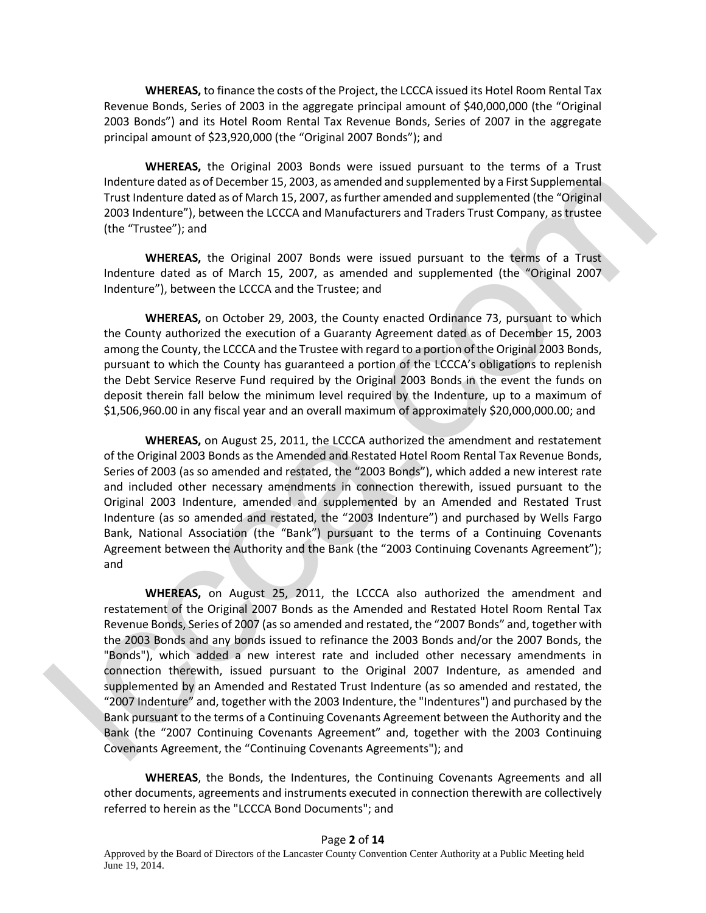**WHEREAS,** to finance the costs of the Project, the LCCCA issued its Hotel Room Rental Tax Revenue Bonds, Series of 2003 in the aggregate principal amount of \$40,000,000 (the "Original 2003 Bonds") and its Hotel Room Rental Tax Revenue Bonds, Series of 2007 in the aggregate principal amount of \$23,920,000 (the "Original 2007 Bonds"); and

**WHEREAS,** the Original 2003 Bonds were issued pursuant to the terms of a Trust Indenture dated as of December 15, 2003, as amended and supplemented by a First Supplemental Trust Indenture dated as of March 15, 2007, as further amended and supplemented (the "Original 2003 Indenture"), between the LCCCA and Manufacturers and Traders Trust Company, as trustee (the "Trustee"); and

**WHEREAS,** the Original 2007 Bonds were issued pursuant to the terms of a Trust Indenture dated as of March 15, 2007, as amended and supplemented (the "Original 2007 Indenture"), between the LCCCA and the Trustee; and

**WHEREAS,** on October 29, 2003, the County enacted Ordinance 73, pursuant to which the County authorized the execution of a Guaranty Agreement dated as of December 15, 2003 among the County, the LCCCA and the Trustee with regard to a portion of the Original 2003 Bonds, pursuant to which the County has guaranteed a portion of the LCCCA's obligations to replenish the Debt Service Reserve Fund required by the Original 2003 Bonds in the event the funds on deposit therein fall below the minimum level required by the Indenture, up to a maximum of \$1,506,960.00 in any fiscal year and an overall maximum of approximately \$20,000,000.00; and

**WHEREAS,** on August 25, 2011, the LCCCA authorized the amendment and restatement of the Original 2003 Bonds as the Amended and Restated Hotel Room Rental Tax Revenue Bonds, Series of 2003 (as so amended and restated, the "2003 Bonds"), which added a new interest rate and included other necessary amendments in connection therewith, issued pursuant to the Original 2003 Indenture, amended and supplemented by an Amended and Restated Trust Indenture (as so amended and restated, the "2003 Indenture") and purchased by Wells Fargo Bank, National Association (the "Bank") pursuant to the terms of a Continuing Covenants Agreement between the Authority and the Bank (the "2003 Continuing Covenants Agreement"); and

**WHEREAS,** on August 25, 2011, the LCCCA also authorized the amendment and restatement of the Original 2007 Bonds as the Amended and Restated Hotel Room Rental Tax Revenue Bonds, Series of 2007 (as so amended and restated, the "2007 Bonds" and, together with the 2003 Bonds and any bonds issued to refinance the 2003 Bonds and/or the 2007 Bonds, the "Bonds"), which added a new interest rate and included other necessary amendments in connection therewith, issued pursuant to the Original 2007 Indenture, as amended and supplemented by an Amended and Restated Trust Indenture (as so amended and restated, the "2007 Indenture" and, together with the 2003 Indenture, the "Indentures") and purchased by the Bank pursuant to the terms of a Continuing Covenants Agreement between the Authority and the Bank (the "2007 Continuing Covenants Agreement" and, together with the 2003 Continuing Covenants Agreement, the "Continuing Covenants Agreements"); and Indenture deterate and December 15, 2003, as a smealed and supplemented by pair  $R = 0.001$  and restrict supplemented the "Original 2003 Indenture", between the CCCA and Manufacturers and Trades Trust Comparison<br>2003 Inden

**WHEREAS**, the Bonds, the Indentures, the Continuing Covenants Agreements and all other documents, agreements and instruments executed in connection therewith are collectively referred to herein as the "LCCCA Bond Documents"; and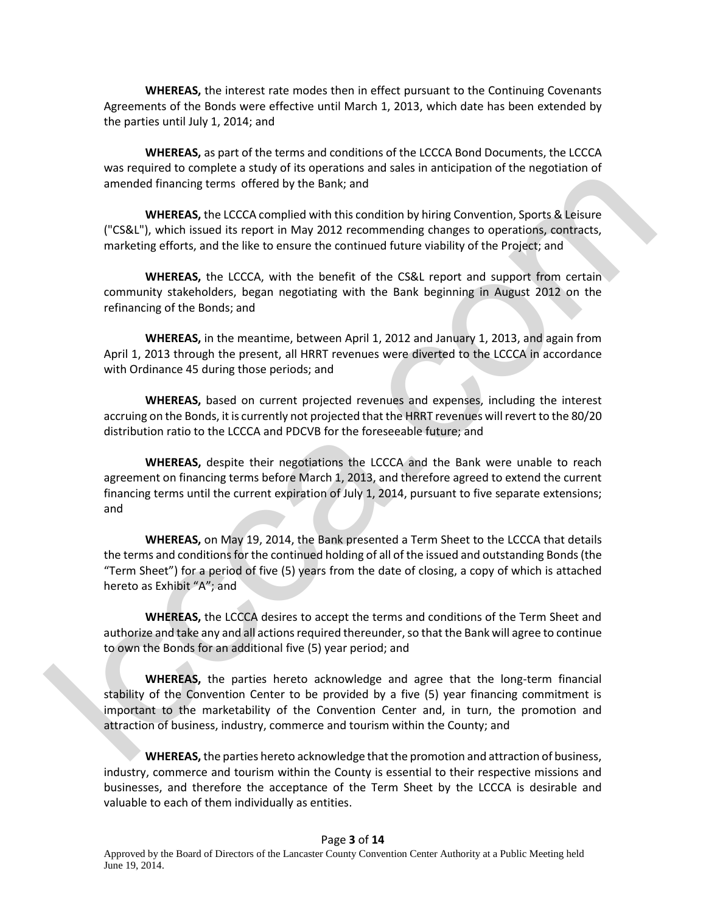**WHEREAS,** the interest rate modes then in effect pursuant to the Continuing Covenants Agreements of the Bonds were effective until March 1, 2013, which date has been extended by the parties until July 1, 2014; and

**WHEREAS,** as part of the terms and conditions of the LCCCA Bond Documents, the LCCCA was required to complete a study of its operations and sales in anticipation of the negotiation of amended financing terms offered by the Bank; and

**WHEREAS,** the LCCCA complied with this condition by hiring Convention, Sports & Leisure ("CS&L"), which issued its report in May 2012 recommending changes to operations, contracts, marketing efforts, and the like to ensure the continued future viability of the Project; and

**WHEREAS,** the LCCCA, with the benefit of the CS&L report and support from certain community stakeholders, began negotiating with the Bank beginning in August 2012 on the refinancing of the Bonds; and

**WHEREAS,** in the meantime, between April 1, 2012 and January 1, 2013, and again from April 1, 2013 through the present, all HRRT revenues were diverted to the LCCCA in accordance with Ordinance 45 during those periods; and

**WHEREAS,** based on current projected revenues and expenses, including the interest accruing on the Bonds, it is currently not projected that the HRRT revenues will revert to the 80/20 distribution ratio to the LCCCA and PDCVB for the foreseeable future; and

**WHEREAS,** despite their negotiations the LCCCA and the Bank were unable to reach agreement on financing terms before March 1, 2013, and therefore agreed to extend the current financing terms until the current expiration of July 1, 2014, pursuant to five separate extensions; and

**WHEREAS,** on May 19, 2014, the Bank presented a Term Sheet to the LCCCA that details the terms and conditions for the continued holding of all of the issued and outstanding Bonds (the "Term Sheet") for a period of five (5) years from the date of closing, a copy of which is attached hereto as Exhibit "A"; and

**WHEREAS,** the LCCCA desires to accept the terms and conditions of the Term Sheet and authorize and take any and all actions required thereunder, so that the Bank will agree to continue to own the Bonds for an additional five (5) year period; and

**WHEREAS,** the parties hereto acknowledge and agree that the long-term financial stability of the Convention Center to be provided by a five (5) year financing commitment is important to the marketability of the Convention Center and, in turn, the promotion and attraction of business, industry, commerce and tourism within the County; and worked to consider the Bank state. The theorem is the tect of the Bank state. The tect that is a member of the Bank state. The tect is a member of the Bank state. The tect is a member of the Bank state. The tect is a memb

**WHEREAS,** the parties hereto acknowledge that the promotion and attraction of business, industry, commerce and tourism within the County is essential to their respective missions and businesses, and therefore the acceptance of the Term Sheet by the LCCCA is desirable and valuable to each of them individually as entities.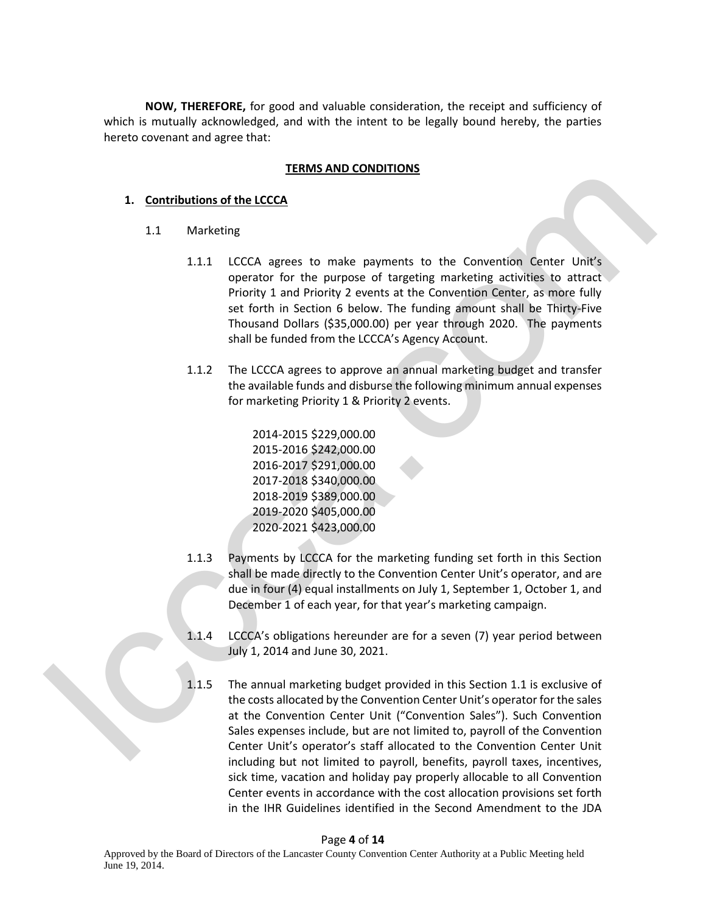**NOW, THEREFORE,** for good and valuable consideration, the receipt and sufficiency of which is mutually acknowledged, and with the intent to be legally bound hereby, the parties hereto covenant and agree that:

## **TERMS AND CONDITIONS**

## **1. Contributions of the LCCCA**

- 1.1 Marketing
- 1.1.1 LCCCA agrees to make payments to the Convention Center Unit's operator for the purpose of targeting marketing activities to attract Priority 1 and Priority 2 events at the Convention Center, as more fully set forth in Section 6 below. The funding amount shall be Thirty-Five Thousand Dollars (\$35,000.00) per year through 2020. The payments shall be funded from the LCCCA's Agency Account. 1. Contributions of the LCCCA<br>
1.1 Marketing<br>
1.1 LCCCA agrees to make payments to the Convention Center Unit's<br>
1.1 LCCCA agrees to make payments to the Convention Center Unit's<br>
1.1 LCCCA agrees to make payments to the
	- 1.1.2 The LCCCA agrees to approve an annual marketing budget and transfer the available funds and disburse the following minimum annual expenses for marketing Priority 1 & Priority 2 events.

2014-2015 \$229,000.00 2015-2016 \$242,000.00 2016-2017 \$291,000.00 2017-2018 \$340,000.00 2018-2019 \$389,000.00 2019-2020 \$405,000.00 2020-2021 \$423,000.00

- 1.1.3 Payments by LCCCA for the marketing funding set forth in this Section shall be made directly to the Convention Center Unit's operator, and are due in four (4) equal installments on July 1, September 1, October 1, and December 1 of each year, for that year's marketing campaign.
- 1.1.4 LCCCA's obligations hereunder are for a seven (7) year period between July 1, 2014 and June 30, 2021.
- 1.1.5 The annual marketing budget provided in this Section 1.1 is exclusive of the costs allocated by the Convention Center Unit's operator for the sales at the Convention Center Unit ("Convention Sales"). Such Convention Sales expenses include, but are not limited to, payroll of the Convention Center Unit's operator's staff allocated to the Convention Center Unit including but not limited to payroll, benefits, payroll taxes, incentives, sick time, vacation and holiday pay properly allocable to all Convention Center events in accordance with the cost allocation provisions set forth in the IHR Guidelines identified in the Second Amendment to the JDA

#### Page **4** of **14**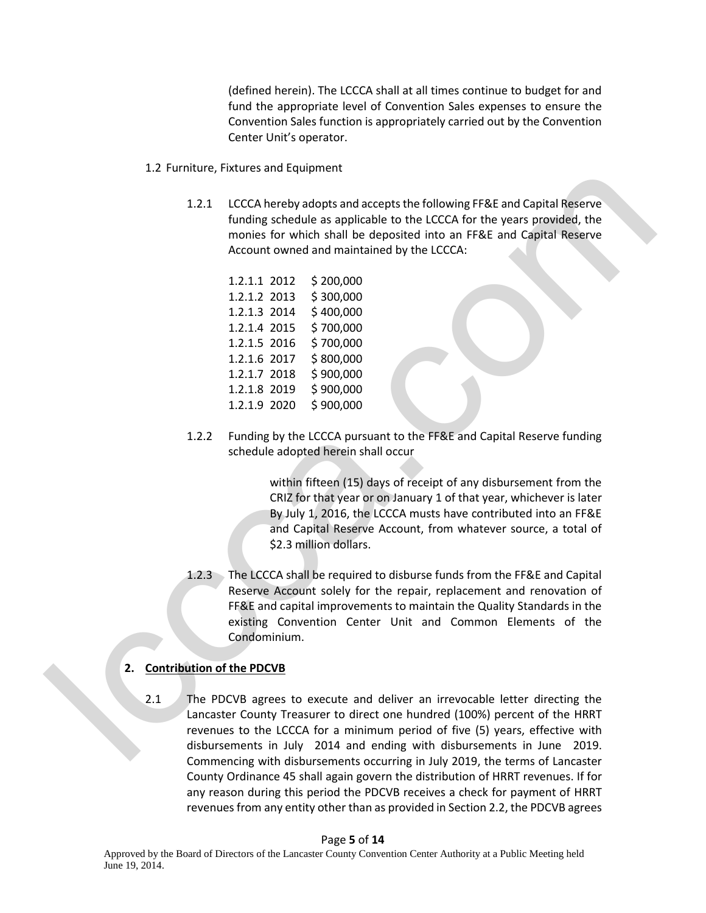(defined herein). The LCCCA shall at all times continue to budget for and fund the appropriate level of Convention Sales expenses to ensure the Convention Sales function is appropriately carried out by the Convention Center Unit's operator.

- 1.2 Furniture, Fixtures and Equipment
	- 1.2.1 LCCCA hereby adopts and accepts the following FF&E and Capital Reserve funding schedule as applicable to the LCCCA for the years provided, the monies for which shall be deposited into an FF&E and Capital Reserve Account owned and maintained by the LCCCA:

| 1.2.1.1 2012 | \$200,000 |
|--------------|-----------|
| 1.2.1.2 2013 | \$300,000 |
| 1.2.1.3 2014 | \$400,000 |
| 1.2.1.4 2015 | \$700,000 |
| 1.2.1.5 2016 | \$700,000 |
| 1.2.1.6 2017 | \$800,000 |
| 1.2.1.7 2018 | \$900,000 |
| 1.2.1.8 2019 | \$900,000 |
| 1.2.1.9 2020 | \$900,000 |
|              |           |

1.2.2 Funding by the LCCCA pursuant to the FF&E and Capital Reserve funding schedule adopted herein shall occur

> within fifteen (15) days of receipt of any disbursement from the CRIZ for that year or on January 1 of that year, whichever is later By July 1, 2016, the LCCCA musts have contributed into an FF&E and Capital Reserve Account, from whatever source, a total of \$2.3 million dollars.

1.2.3 The LCCCA shall be required to disburse funds from the FF&E and Capital Reserve Account solely for the repair, replacement and renovation of FF&E and capital improvements to maintain the Quality Standards in the existing Convention Center Unit and Common Elements of the Condominium. 1.21 LCCCA hereby adopted to the CLCC for the years provided, the mondest or the cluster of the space of the according schedule as a split-able to the LCCCA for the years provided, the<br>mondest for which stall be deposted

# **2. Contribution of the PDCVB**

2.1 The PDCVB agrees to execute and deliver an irrevocable letter directing the Lancaster County Treasurer to direct one hundred (100%) percent of the HRRT revenues to the LCCCA for a minimum period of five (5) years, effective with disbursements in July 2014 and ending with disbursements in June 2019. Commencing with disbursements occurring in July 2019, the terms of Lancaster County Ordinance 45 shall again govern the distribution of HRRT revenues. If for any reason during this period the PDCVB receives a check for payment of HRRT revenues from any entity other than as provided in Section 2.2, the PDCVB agrees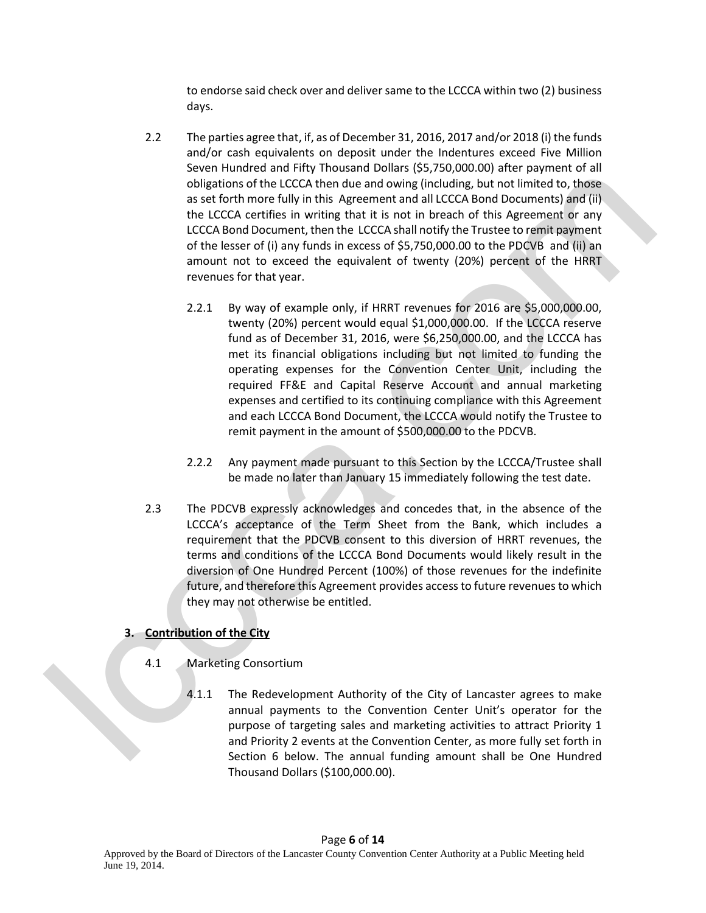to endorse said check over and deliver same to the LCCCA within two (2) business days.

- 2.2 The parties agree that, if, as of December 31, 2016, 2017 and/or 2018 (i) the funds and/or cash equivalents on deposit under the Indentures exceed Five Million Seven Hundred and Fifty Thousand Dollars (\$5,750,000.00) after payment of all obligations of the LCCCA then due and owing (including, but not limited to, those as set forth more fully in this Agreement and all LCCCA Bond Documents) and (ii) the LCCCA certifies in writing that it is not in breach of this Agreement or any LCCCA Bond Document, then the LCCCA shall notify the Trustee to remit payment of the lesser of (i) any funds in excess of \$5,750,000.00 to the PDCVB and (ii) an amount not to exceed the equivalent of twenty (20%) percent of the HRRT revenues for that year.
- 2.2.1 By way of example only, if HRRT revenues for 2016 are \$5,000,000.00, twenty (20%) percent would equal \$1,000,000.00. If the LCCCA reserve fund as of December 31, 2016, were \$6,250,000.00, and the LCCCA has met its financial obligations including but not limited to funding the operating expenses for the Convention Center Unit, including the required FF&E and Capital Reserve Account and annual marketing expenses and certified to its continuing compliance with this Agreement and each LCCCA Bond Document, the LCCCA would notify the Trustee to remit payment in the amount of \$500,000.00 to the PDCVB. columentaristic contribution to the Houston control of the matterial and the control of the control of the control of the control of the control of the section is the control of the section of the section of the section o
	- 2.2.2 Any payment made pursuant to this Section by the LCCCA/Trustee shall be made no later than January 15 immediately following the test date.
	- 2.3 The PDCVB expressly acknowledges and concedes that, in the absence of the LCCCA's acceptance of the Term Sheet from the Bank, which includes a requirement that the PDCVB consent to this diversion of HRRT revenues, the terms and conditions of the LCCCA Bond Documents would likely result in the diversion of One Hundred Percent (100%) of those revenues for the indefinite future, and therefore this Agreement provides access to future revenues to which they may not otherwise be entitled.

# **3. Contribution of the City**

- 4.1 Marketing Consortium
	- 4.1.1 The Redevelopment Authority of the City of Lancaster agrees to make annual payments to the Convention Center Unit's operator for the purpose of targeting sales and marketing activities to attract Priority 1 and Priority 2 events at the Convention Center, as more fully set forth in Section 6 below. The annual funding amount shall be One Hundred Thousand Dollars (\$100,000.00).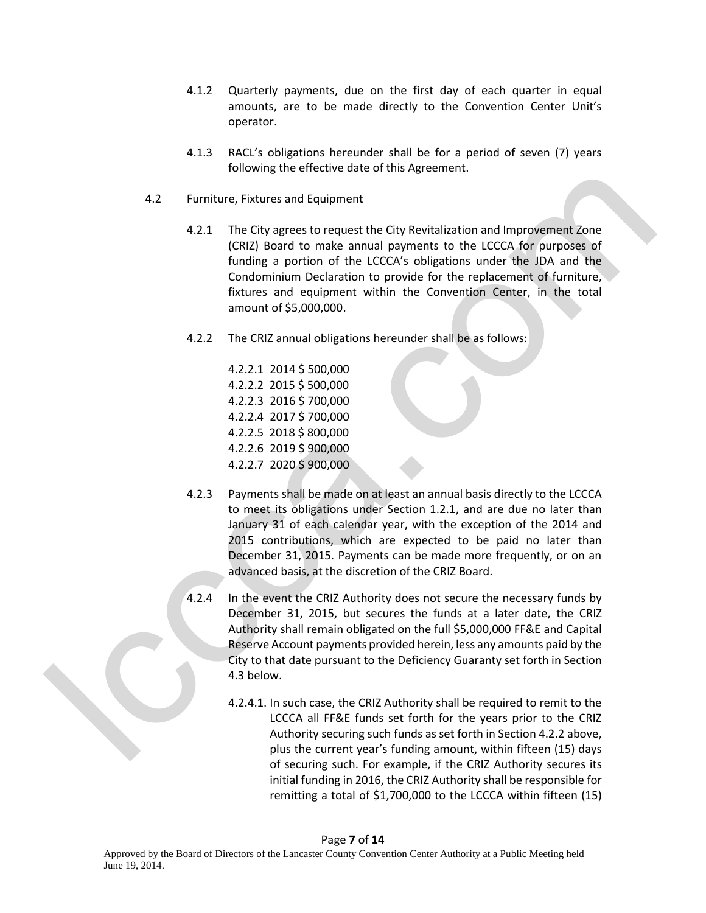- 4.1.2 Quarterly payments, due on the first day of each quarter in equal amounts, are to be made directly to the Convention Center Unit's operator.
- 4.1.3 RACL's obligations hereunder shall be for a period of seven (7) years following the effective date of this Agreement.
- 4.2 Furniture, Fixtures and Equipment
	- 4.2.1 The City agrees to request the City Revitalization and Improvement Zone (CRIZ) Board to make annual payments to the LCCCA for purposes of funding a portion of the LCCCA's obligations under the JDA and the Condominium Declaration to provide for the replacement of furniture, fixtures and equipment within the Convention Center, in the total amount of \$5,000,000.
	- 4.2.2 The CRIZ annual obligations hereunder shall be as follows:

4.2.2.1 2014 \$ 500,000 4.2.2.2 2015 \$ 500,000 4.2.2.3 2016 \$ 700,000 4.2.2.4 2017 \$ 700,000 4.2.2.5 2018 \$ 800,000 4.2.2.6 2019 \$ 900,000 4.2.2.7 2020 \$ 900,000

- 4.2.3 Payments shall be made on at least an annual basis directly to the LCCCA to meet its obligations under Section 1.2.1, and are due no later than January 31 of each calendar year, with the exception of the 2014 and 2015 contributions, which are expected to be paid no later than December 31, 2015. Payments can be made more frequently, or on an advanced basis, at the discretion of the CRIZ Board. 4.2 Furniture, Fixtures and Equipment<br>
4.2 Furniture, Fixtures and Equipment<br>
4.2.1 The City agrees to request the City Revistington and improvement Zone<br>
4.2.1 The City agrees to request the City Revistington and improve
	- 4.2.4 In the event the CRIZ Authority does not secure the necessary funds by December 31, 2015, but secures the funds at a later date, the CRIZ Authority shall remain obligated on the full \$5,000,000 FF&E and Capital Reserve Account payments provided herein, less any amounts paid by the City to that date pursuant to the Deficiency Guaranty set forth in Section 4.3 below.
		- 4.2.4.1. In such case, the CRIZ Authority shall be required to remit to the LCCCA all FF&E funds set forth for the years prior to the CRIZ Authority securing such funds as set forth in Section 4.2.2 above, plus the current year's funding amount, within fifteen (15) days of securing such. For example, if the CRIZ Authority secures its initial funding in 2016, the CRIZ Authority shall be responsible for remitting a total of \$1,700,000 to the LCCCA within fifteen (15)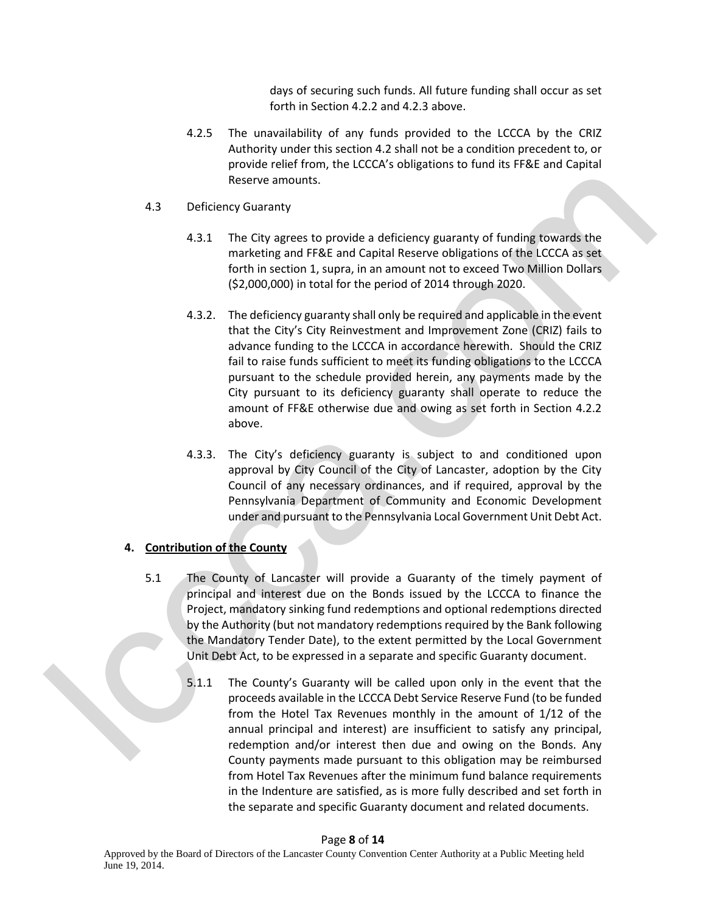days of securing such funds. All future funding shall occur as set forth in Section 4.2.2 and 4.2.3 above.

- 4.2.5 The unavailability of any funds provided to the LCCCA by the CRIZ Authority under this section 4.2 shall not be a condition precedent to, or provide relief from, the LCCCA's obligations to fund its FF&E and Capital Reserve amounts.
- 4.3 Deficiency Guaranty
	- 4.3.1 The City agrees to provide a deficiency guaranty of funding towards the marketing and FF&E and Capital Reserve obligations of the LCCCA as set forth in section 1, supra, in an amount not to exceed Two Million Dollars (\$2,000,000) in total for the period of 2014 through 2020.
- 4.3.2. The deficiency guaranty shall only be required and applicable in the event that the City's City Reinvestment and Improvement Zone (CRIZ) fails to advance funding to the LCCCA in accordance herewith. Should the CRIZ fail to raise funds sufficient to meet its funding obligations to the LCCCA pursuant to the schedule provided herein, any payments made by the City pursuant to its deficiency guaranty shall operate to reduce the amount of FF&E otherwise due and owing as set forth in Section 4.2.2 above. Reserve amounts.<br>
1.3 Deficiency Guaranty of funding towards the<br>
1.4.3 The City agrees to provide a deficiency guaranty of funding towards the<br>
moritoring and FR&E and Capital Reserve obligations of the LCCCA as set<br>
1.6
	- 4.3.3. The City's deficiency guaranty is subject to and conditioned upon approval by City Council of the City of Lancaster, adoption by the City Council of any necessary ordinances, and if required, approval by the Pennsylvania Department of Community and Economic Development under and pursuant to the Pennsylvania Local Government Unit Debt Act.

# **4. Contribution of the County**

- 5.1 The County of Lancaster will provide a Guaranty of the timely payment of principal and interest due on the Bonds issued by the LCCCA to finance the Project, mandatory sinking fund redemptions and optional redemptions directed by the Authority (but not mandatory redemptions required by the Bank following the Mandatory Tender Date), to the extent permitted by the Local Government Unit Debt Act, to be expressed in a separate and specific Guaranty document.
	- 5.1.1 The County's Guaranty will be called upon only in the event that the proceeds available in the LCCCA Debt Service Reserve Fund (to be funded from the Hotel Tax Revenues monthly in the amount of 1/12 of the annual principal and interest) are insufficient to satisfy any principal, redemption and/or interest then due and owing on the Bonds. Any County payments made pursuant to this obligation may be reimbursed from Hotel Tax Revenues after the minimum fund balance requirements in the Indenture are satisfied, as is more fully described and set forth in the separate and specific Guaranty document and related documents.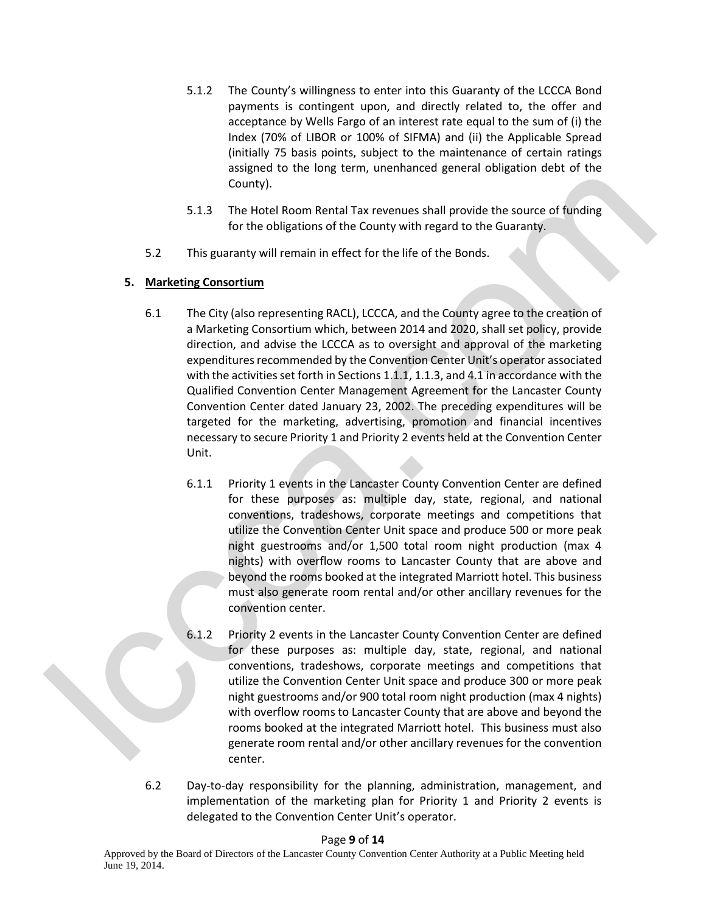- 5.1.2 The County's willingness to enter into this Guaranty of the LCCCA Bond payments is contingent upon, and directly related to, the offer and acceptance by Wells Fargo of an interest rate equal to the sum of (i) the Index (70% of LIBOR or 100% of SIFMA) and (ii) the Applicable Spread (initially 75 basis points, subject to the maintenance of certain ratings assigned to the long term, unenhanced general obligation debt of the County).
- 5.1.3 The Hotel Room Rental Tax revenues shall provide the source of funding for the obligations of the County with regard to the Guaranty.
- 5.2 This guaranty will remain in effect for the life of the Bonds.

# **5. Marketing Consortium**

- 6.1 The City (also representing RACL), LCCCA, and the County agree to the creation of a Marketing Consortium which, between 2014 and 2020, shall set policy, provide direction, and advise the LCCCA as to oversight and approval of the marketing expenditures recommended by the Convention Center Unit's operator associated with the activities set forth in Sections 1.1.1, 1.1.3, and 4.1 in accordance with the Qualified Convention Center Management Agreement for the Lancaster County Convention Center dated January 23, 2002. The preceding expenditures will be targeted for the marketing, advertising, promotion and financial incentives necessary to secure Priority 1 and Priority 2 events held at the Convention Center Unit. Legative to the total contribute of the thermal state and the control of the theorem and the control of the control of the control of the control of the Control of the Control of the Control of the Control of the Control
	- 6.1.1 Priority 1 events in the Lancaster County Convention Center are defined for these purposes as: multiple day, state, regional, and national conventions, tradeshows, corporate meetings and competitions that utilize the Convention Center Unit space and produce 500 or more peak night guestrooms and/or 1,500 total room night production (max 4 nights) with overflow rooms to Lancaster County that are above and beyond the rooms booked at the integrated Marriott hotel. This business must also generate room rental and/or other ancillary revenues for the convention center.
	- 6.1.2 Priority 2 events in the Lancaster County Convention Center are defined for these purposes as: multiple day, state, regional, and national conventions, tradeshows, corporate meetings and competitions that utilize the Convention Center Unit space and produce 300 or more peak night guestrooms and/or 900 total room night production (max 4 nights) with overflow rooms to Lancaster County that are above and beyond the rooms booked at the integrated Marriott hotel. This business must also generate room rental and/or other ancillary revenues for the convention center.
	- 6.2 Day-to-day responsibility for the planning, administration, management, and implementation of the marketing plan for Priority 1 and Priority 2 events is delegated to the Convention Center Unit's operator.

### Page **9** of **14**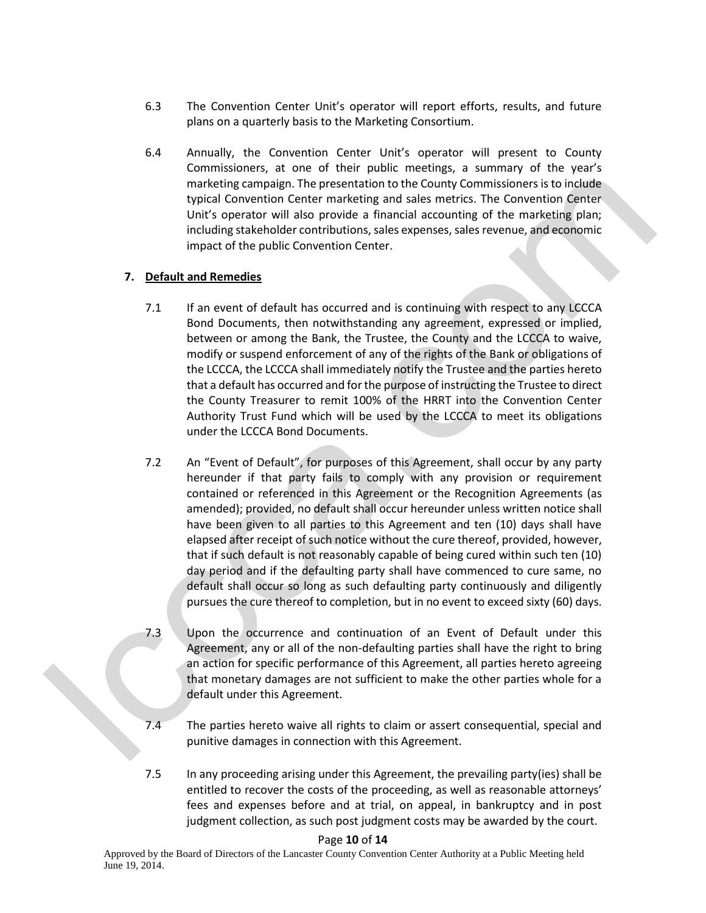- 6.3 The Convention Center Unit's operator will report efforts, results, and future plans on a quarterly basis to the Marketing Consortium.
- 6.4 Annually, the Convention Center Unit's operator will present to County Commissioners, at one of their public meetings, a summary of the year's marketing campaign. The presentation to the County Commissioners is to include typical Convention Center marketing and sales metrics. The Convention Center Unit's operator will also provide a financial accounting of the marketing plan; including stakeholder contributions, sales expenses, sales revenue, and economic impact of the public Convention Center.

# **7. Default and Remedies**

- 7.1 If an event of default has occurred and is continuing with respect to any LCCCA Bond Documents, then notwithstanding any agreement, expressed or implied, between or among the Bank, the Trustee, the County and the LCCCA to waive, modify or suspend enforcement of any of the rights of the Bank or obligations of the LCCCA, the LCCCA shall immediately notify the Trustee and the parties hereto that a default has occurred and for the purpose of instructing the Trustee to direct the County Treasurer to remit 100% of the HRRT into the Convention Center Authority Trust Fund which will be used by the LCCCA to meet its obligations under the LCCCA Bond Documents.
- 7.2 An "Event of Default", for purposes of this Agreement, shall occur by any party hereunder if that party fails to comply with any provision or requirement contained or referenced in this Agreement or the Recognition Agreements (as amended); provided, no default shall occur hereunder unless written notice shall have been given to all parties to this Agreement and ten (10) days shall have elapsed after receipt of such notice without the cure thereof, provided, however, that if such default is not reasonably capable of being cured within such ten (10) day period and if the defaulting party shall have commenced to cure same, no default shall occur so long as such defaulting party continuously and diligently pursues the cure thereof to completion, but in no event to exceed sixty (60) days. contribute community to the controllation of the community of the controllation of the person of the person of the person of the controllation of the controllation of the controllation of the controllation of the controlla
	- 7.3 Upon the occurrence and continuation of an Event of Default under this Agreement, any or all of the non-defaulting parties shall have the right to bring an action for specific performance of this Agreement, all parties hereto agreeing that monetary damages are not sufficient to make the other parties whole for a default under this Agreement.
	- 7.4 The parties hereto waive all rights to claim or assert consequential, special and punitive damages in connection with this Agreement.
	- 7.5 In any proceeding arising under this Agreement, the prevailing party(ies) shall be entitled to recover the costs of the proceeding, as well as reasonable attorneys' fees and expenses before and at trial, on appeal, in bankruptcy and in post judgment collection, as such post judgment costs may be awarded by the court.

### Page **10** of **14**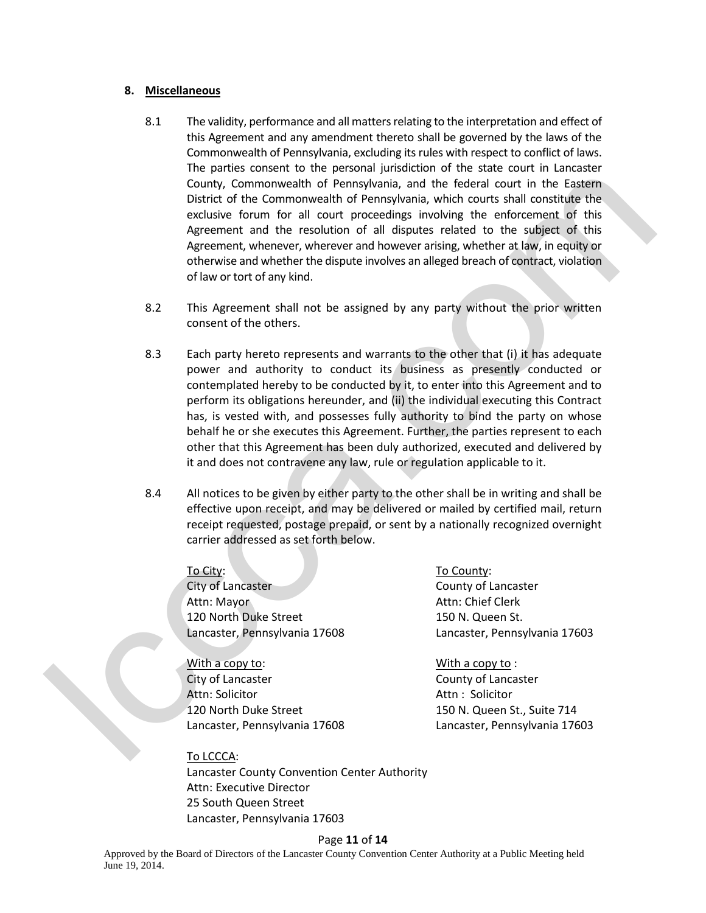#### **8. Miscellaneous**

- 8.1 The validity, performance and all matters relating to the interpretation and effect of this Agreement and any amendment thereto shall be governed by the laws of the Commonwealth of Pennsylvania, excluding its rules with respect to conflict of laws. The parties consent to the personal jurisdiction of the state court in Lancaster County, Commonwealth of Pennsylvania, and the federal court in the Eastern District of the Commonwealth of Pennsylvania, which courts shall constitute the exclusive forum for all court proceedings involving the enforcement of this Agreement and the resolution of all disputes related to the subject of this Agreement, whenever, wherever and however arising, whether at law, in equity or otherwise and whether the dispute involves an alleged breach of contract, violation of law or tort of any kind.
- 8.2 This Agreement shall not be assigned by any party without the prior written consent of the others.
- 8.3 Each party hereto represents and warrants to the other that (i) it has adequate power and authority to conduct its business as presently conducted or contemplated hereby to be conducted by it, to enter into this Agreement and to perform its obligations hereunder, and (ii) the individual executing this Contract has, is vested with, and possesses fully authority to bind the party on whose behalf he or she executes this Agreement. Further, the parties represent to each other that this Agreement has been duly authorized, executed and delivered by it and does not contravene any law, rule or regulation applicable to it. Counter. Communication is Personalysin and the indetermination of the Communication of the Communication of the Communication of the Communication of the Communication of the Communication of the Communication of the Comm
	- 8.4 All notices to be given by either party to the other shall be in writing and shall be effective upon receipt, and may be delivered or mailed by certified mail, return receipt requested, postage prepaid, or sent by a nationally recognized overnight carrier addressed as set forth below.

City of Lancaster County of Lancaster Attn: Mayor Attn: Chief Clerk 120 North Duke Street 150 N. Queen St. Lancaster, Pennsylvania 17608 Lancaster, Pennsylvania 17603

With a copy to: With a copy to: City of Lancaster City of Lancaster County of Lancaster Attn: Solicitor **Attn** : Solicitor **Attn** : Solicitor 120 North Duke Street 150 N. Queen St., Suite 714

To City: To County:

Lancaster, Pennsylvania 17608 Lancaster, Pennsylvania 17603

### To LCCCA:

Lancaster County Convention Center Authority Attn: Executive Director 25 South Queen Street Lancaster, Pennsylvania 17603

#### Page **11** of **14**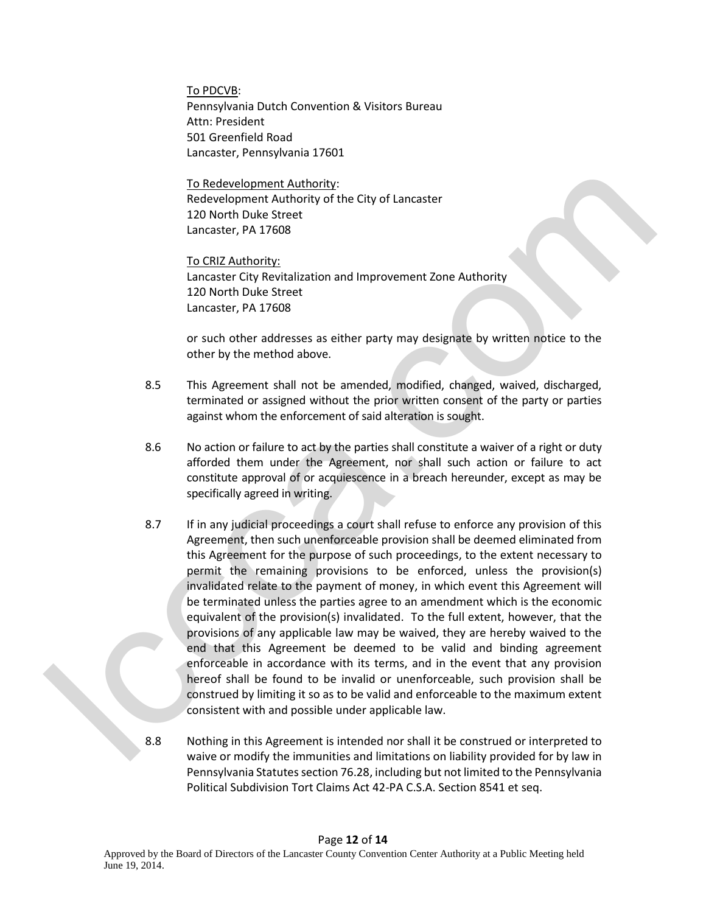To PDCVB: Pennsylvania Dutch Convention & Visitors Bureau Attn: President 501 Greenfield Road Lancaster, Pennsylvania 17601

To Redevelopment Authority: Redevelopment Authority of the City of Lancaster 120 North Duke Street Lancaster, PA 17608

 To CRIZ Authority: Lancaster City Revitalization and Improvement Zone Authority 120 North Duke Street Lancaster, PA 17608

 or such other addresses as either party may designate by written notice to the other by the method above.

- 8.5 This Agreement shall not be amended, modified, changed, waived, discharged, terminated or assigned without the prior written consent of the party or parties against whom the enforcement of said alteration is sought.
- 8.6 No action or failure to act by the parties shall constitute a waiver of a right or duty afforded them under the Agreement, nor shall such action or failure to act constitute approval of or acquiescence in a breach hereunder, except as may be specifically agreed in writing.
- 8.7 If in any judicial proceedings a court shall refuse to enforce any provision of this Agreement, then such unenforceable provision shall be deemed eliminated from this Agreement for the purpose of such proceedings, to the extent necessary to permit the remaining provisions to be enforced, unless the provision(s) invalidated relate to the payment of money, in which event this Agreement will be terminated unless the parties agree to an amendment which is the economic equivalent of the provision(s) invalidated. To the full extent, however, that the provisions of any applicable law may be waived, they are hereby waived to the end that this Agreement be deemed to be valid and binding agreement enforceable in accordance with its terms, and in the event that any provision hereof shall be found to be invalid or unenforceable, such provision shall be construed by limiting it so as to be valid and enforceable to the maximum extent consistent with and possible under applicable law. To Redecesions<br>ment Authority<br>of the City of Lancaster<br>120 Norm Duke Street<br>120 Norm Duke Street<br>120 Norm Duke Street<br>120 Norm Duke Street<br>120 Norm Duke Street<br>120 Norm Duke Street<br>120 Norm Duke Street<br>120 Norm Duke Street
	- 8.8 Nothing in this Agreement is intended nor shall it be construed or interpreted to waive or modify the immunities and limitations on liability provided for by law in Pennsylvania Statutes section 76.28, including but not limited to the Pennsylvania Political Subdivision Tort Claims Act 42-PA C.S.A. Section 8541 et seq.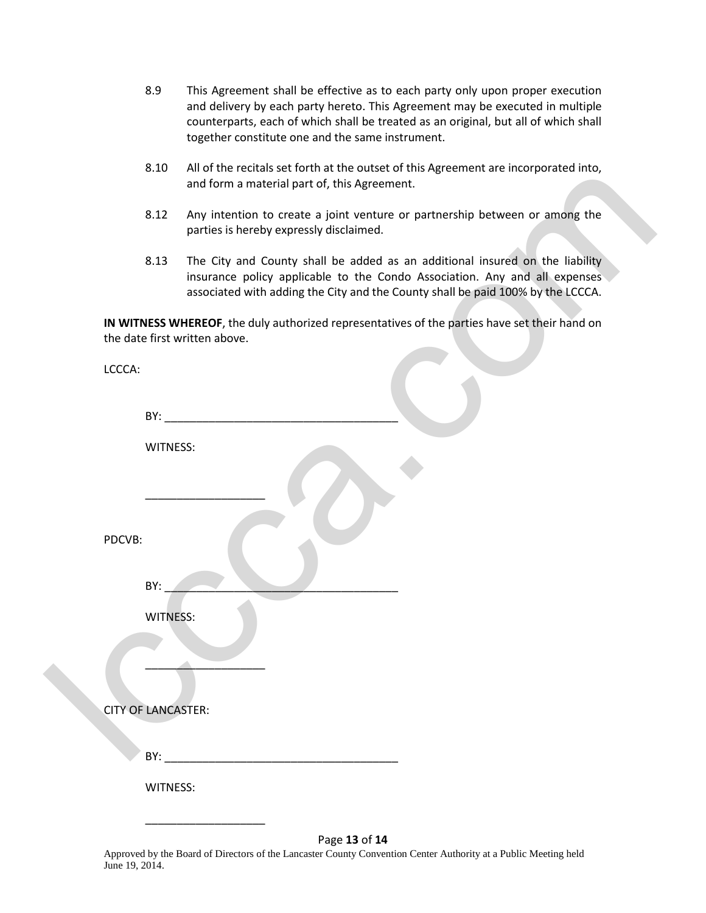- 8.9 This Agreement shall be effective as to each party only upon proper execution and delivery by each party hereto. This Agreement may be executed in multiple counterparts, each of which shall be treated as an original, but all of which shall together constitute one and the same instrument.
- 8.10 All of the recitals set forth at the outset of this Agreement are incorporated into, and form a material part of, this Agreement.
- 8.12 Any intention to create a joint venture or partnership between or among the parties is hereby expressly disclaimed.
- 8.13 The City and County shall be added as an additional insured on the liability insurance policy applicable to the Condo Association. Any and all expenses associated with adding the City and the County shall be paid 100% by the LCCCA.

|                           | ບ.⊥ບ            | All of the recitals set forth at the outset of this Agreement are incorporated into,<br>and form a material part of, this Agreement.                                                                                                          |
|---------------------------|-----------------|-----------------------------------------------------------------------------------------------------------------------------------------------------------------------------------------------------------------------------------------------|
|                           | 8.12            | Any intention to create a joint venture or partnership between or among the<br>parties is hereby expressly disclaimed.                                                                                                                        |
|                           | 8.13            | The City and County shall be added as an additional insured on the liability<br>insurance policy applicable to the Condo Association. Any and all expenses<br>associated with adding the City and the County shall be paid 100% by the LCCCA. |
|                           |                 | IN WITNESS WHEREOF, the duly authorized representatives of the parties have set their hand on<br>the date first written above.                                                                                                                |
| LCCCA:                    |                 |                                                                                                                                                                                                                                               |
|                           | BY:             |                                                                                                                                                                                                                                               |
|                           | WITNESS:        |                                                                                                                                                                                                                                               |
|                           |                 |                                                                                                                                                                                                                                               |
| PDCVB:                    |                 |                                                                                                                                                                                                                                               |
|                           | BY:             |                                                                                                                                                                                                                                               |
|                           | <b>WITNESS:</b> |                                                                                                                                                                                                                                               |
|                           |                 |                                                                                                                                                                                                                                               |
| <b>CITY OF LANCASTER:</b> |                 |                                                                                                                                                                                                                                               |
|                           |                 |                                                                                                                                                                                                                                               |
|                           | WITNESS:        |                                                                                                                                                                                                                                               |
|                           |                 |                                                                                                                                                                                                                                               |
|                           |                 | Page 13 of 14                                                                                                                                                                                                                                 |